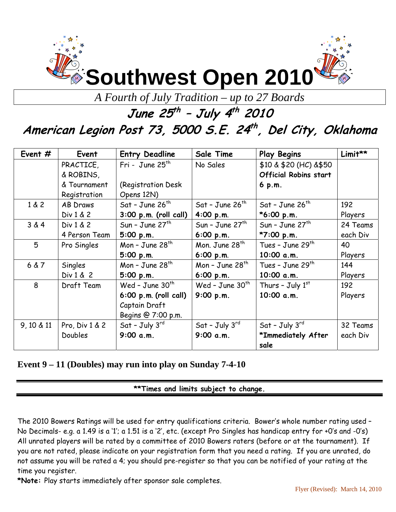

*A Fourth of July Tradition – up to 27 Boards* 

## **June 25th – July 4th<sup>2010</sup>**

# **American Legion Post 73, 5000 S.E. 24th , Del City, Oklahoma**

| Event $#$  | Event          | <b>Entry Deadline</b>   | Sale Time                  | <b>Play Begins</b>           | Limit**  |
|------------|----------------|-------------------------|----------------------------|------------------------------|----------|
|            | PRACTICE,      | Fri - June $25th$       | No Sales                   | \$10 & \$20 (HC) & \$50      |          |
|            | & ROBINS,      |                         |                            | <b>Official Robins start</b> |          |
|            | & Tournament   | (Registration Desk)     |                            | $6$ p.m.                     |          |
|            | Registration   | Opens 12N)              |                            |                              |          |
| 1 & 2      | AB Draws       | Sat - June $26^{th}$    | Sat - June $26^{th}$       | Sat - June $26^{th}$         | 192      |
|            | Div 1 & 2      | $3:00$ p.m. (roll call) | 4:00 p.m.                  | $*6:00 p.m.$                 | Players  |
| 3 & 4      | Div 1 & 2      | Sun - June $27th$       | Sun - June $27th$          | Sun - June $27th$            | 24 Teams |
|            | 4 Person Team  | 5:00 p.m.               | 6:00 p.m.                  | *7:00 p.m.                   | each Div |
| 5          | Pro Singles    | Mon - June $28th$       | Mon. June 28 <sup>th</sup> | Tues - June 29 <sup>th</sup> | 40       |
|            |                | 5:00 p.m.               | 6:00 p.m.                  | 10:00 a.m.                   | Players  |
| 6 & 7      | Singles        | Mon - June $28th$       | Mon - June $28th$          | Tues - June 29 <sup>th</sup> | 144      |
|            | Div 1 & 2      | 5:00 p.m.               | 6:00 p.m.                  | 10:00 a.m.                   | Players  |
| 8          | Draft Team     | Wed - June $30th$       | Wed - June $30th$          | Thurs - July $1st$           | 192      |
|            |                | $6:00$ p.m. (roll call) | 9:00 p.m.                  | 10:00 a.m.                   | Players  |
|            |                | Captain Draft           |                            |                              |          |
|            |                | Begins @ 7:00 p.m.      |                            |                              |          |
| 9, 10 & 11 | Pro, Div 1 & 2 | $Sat$ - July $3^{rd}$   | $Sat$ - July $3^{rd}$      | Sat - July $3^{rd}$          | 32 Teams |
|            | <b>Doubles</b> | 9:00 a.m.               | 9:00 a.m.                  | *Immediately After           | each Div |
|            |                |                         |                            | sale                         |          |

### **Event 9 – 11 (Doubles) may run into play on Sunday 7-4-10**

**\*\*Times and limits subject to change.** 

The 2010 Bowers Ratings will be used for entry qualifications criteria. Bower's whole number rating used – No Decimals- e.g. a 1.49 is a '1'; a 1.51 is a '2', etc. (except Pro Singles has handicap entry for +0's and -0's) All unrated players will be rated by a committee of 2010 Bowers raters (before or at the tournament). If you are not rated, please indicate on your registration form that you need a rating. If you are unrated, do not assume you will be rated a 4; you should pre-register so that you can be notified of your rating at the time you register.

**\*Note:** Play starts immediately after sponsor sale completes.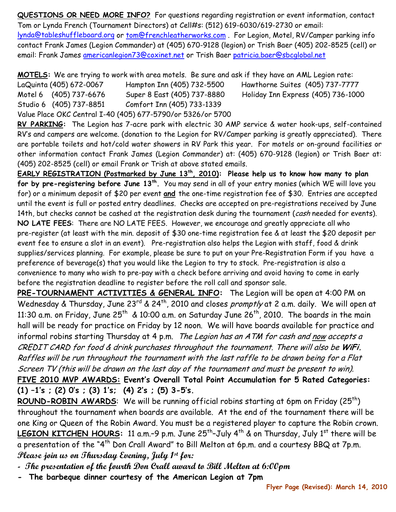**QUESTIONS OR NEED MORE INFO?** For questions regarding registration or event information, contact Tom or Lynda French (Tournament Directors) at Cell#s: (512) 619-6030/619-2730 or email:

lynda@tableshuffleboard.org or tom@frenchleatherworks.com . For Legion, Motel, RV/Camper parking info contact Frank James (Legion Commander) at (405) 670-9128 (legion) or Trish Baer (405) 202-8525 (cell) or email: Frank James americanlegion73@coxinet.net or Trish Baer [patricia.baer@sbcglobal.net](mailto:patricia.baer@sbcglobal.net) 

**MOTELS:** We are trying to work with area motels. Be sure and ask if they have an AML Legion rate:

LaQuinta (405) 672-0067 Hampton Inn (405) 732-5500 Hawthorne Suites (405) 737-7777 Motel 6 (405) 737-6676 Super 8 East (405) 737-8880 Holiday Inn Express (405) 736-1000 Studio 6 (405) 737-8851 Comfort Inn (405) 733-1339 Value Place OKC Central I-40 (405) 677-5790/or 5326/or 5700

**RV PARKING:** The Legion has 7-acre park with electric 30 AMP service & water hook-ups, self-contained RV's and campers are welcome. (donation to the Legion for RV/Camper parking is greatly appreciated). There are portable toilets and hot/cold water showers in RV Park this year. For motels or on-ground facilities or other information contact Frank James (Legion Commander) at: (405) 670-9128 (legion) or Trish Baer at: (405) 202-8525 (cell) or email Frank or Trish at above stated emails.

**EARLY REGISTRATION (Postmarked by June 13th, 2010): Please help us to know how many to plan for by pre-registering before June 13th.** You may send in all of your entry monies (which WE will love you for) or a minimum deposit of \$20 per event **and** the one-time registration fee of \$30. Entries are accepted until the event is full or posted entry deadlines. Checks are accepted on pre-registrations received by June 14th, but checks cannot be cashed at the registration desk during the tournament (cash needed for events). **NO LATE FEES**: There are NO LATE FEES. However, we encourage and greatly appreciate all who pre-register (at least with the min. deposit of \$30 one-time registration fee & at least the \$20 deposit per event fee to ensure a slot in an event). Pre-registration also helps the Legion with staff, food & drink supplies/services planning. For example, please be sure to put on your Pre-Registration Form if you have a preference of beverage(s) that you would like the Legion to try to stock. Pre-registration is also a convenience to many who wish to pre-pay with a check before arriving and avoid having to come in early before the registration deadline to register before the roll call and sponsor sale.

**PRE-TOURNAMENT ACTIVITIES & GENERAL INFO:** The Legion will be open at 4:00 PM on Wednesday & Thursday, June 23<sup>rd</sup> & 24<sup>th</sup>, 2010 and closes *promptly* at 2 a.m. daily. We will open at 11:30 a.m. on Friday, June  $25^{th}$  & 10:00 a.m. on Saturday June  $26^{th}$ , 2010. The boards in the main hall will be ready for practice on Friday by 12 noon. We will have boards available for practice and informal robins starting Thursday at 4 p.m. The Legion has an ATM for cash and now accepts a CREDIT CARD for food & drink purchases throughout the tournament. There will also be **WiFi.** Raffles will be run throughout the tournament with the last raffle to be drawn being for a Flat Screen TV (this will be drawn on the last day of the tournament and must be present to win).

**FIVE 2010 MVP AWARDS: Event's Overall Total Point Accumulation for 5 Rated Categories: (1) –1's ; (2) 0's ; (3) 1's; (4) 2's ; (5) 3-5's.** 

**ROUND-ROBIN AWARDS:** We will be running official robins starting at 6pm on Friday (25<sup>th</sup>) throughout the tournament when boards are available. At the end of the tournament there will be one King or Queen of the Robin Award. You must be a registered player to capture the Robin crown. LEGION KITCHEN HOURS: 11 a.m.-9 p.m. June 25<sup>th</sup>-July 4<sup>th</sup> & on Thursday, July 1<sup>st</sup> there will be a presentation of the "4<sup>th</sup> Don Crall Award" to Bill Melton at 6p.m. and a courtesy BBQ at 7p.m. **Please join us on Thursday Evening, July 1st for:** 

**- The presentation of the fourth Don Crall award to Bill Melton at 6:00pm** 

**- The barbeque dinner courtesy of the American Legion at 7pm**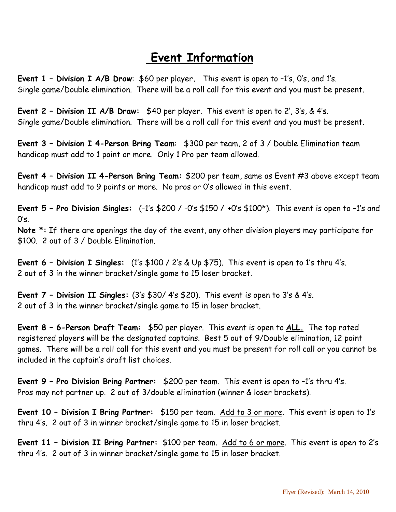### **Event Information**

**Event 1 – Division I A/B Draw**: \$60 per player**.** This event is open to –1's, 0's, and 1's. Single game/Double elimination. There will be a roll call for this event and you must be present.

**Event 2 – Division II A/B Draw:** \$40 per player. This event is open to 2', 3's, & 4's. Single game/Double elimination. There will be a roll call for this event and you must be present.

**Event 3 – Division I 4-Person Bring Team**: \$300 per team, 2 of 3 / Double Elimination team handicap must add to 1 point or more. Only 1 Pro per team allowed.

**Event 4 – Division II 4-Person Bring Team:** \$200 per team, same as Event #3 above except team handicap must add to 9 points or more. No pros or 0's allowed in this event.

**Event 5 – Pro Division Singles:** (-1's \$200 / -0's \$150 / +0's \$100\*). This event is open to –1's and  $0's$ .

**Note \*:** If there are openings the day of the event, any other division players may participate for \$100. 2 out of 3 / Double Elimination.

**Event 6 – Division I Singles:** (1's \$100 / 2's & Up \$75). This event is open to 1's thru 4's. 2 out of 3 in the winner bracket/single game to 15 loser bracket.

**Event 7 – Division II Singles:** (3's \$30/ 4's \$20). This event is open to 3's & 4's. 2 out of 3 in the winner bracket/single game to 15 in loser bracket.

**Event 8 – 6-Person Draft Team:** \$50 per player. This event is open to **ALL.** The top rated registered players will be the designated captains. Best 5 out of 9/Double elimination, 12 point games. There will be a roll call for this event and you must be present for roll call or you cannot be included in the captain's draft list choices.

**Event 9 – Pro Division Bring Partner:** \$200 per team. This event is open to –1's thru 4's. Pros may not partner up. 2 out of 3/double elimination (winner & loser brackets).

**Event 10 – Division I Bring Partner:** \$150 per team. Add to 3 or more. This event is open to 1's thru 4's. 2 out of 3 in winner bracket/single game to 15 in loser bracket.

**Event 11 – Division II Bring Partner:** \$100 per team. Add to 6 or more. This event is open to 2's thru 4's. 2 out of 3 in winner bracket/single game to 15 in loser bracket.